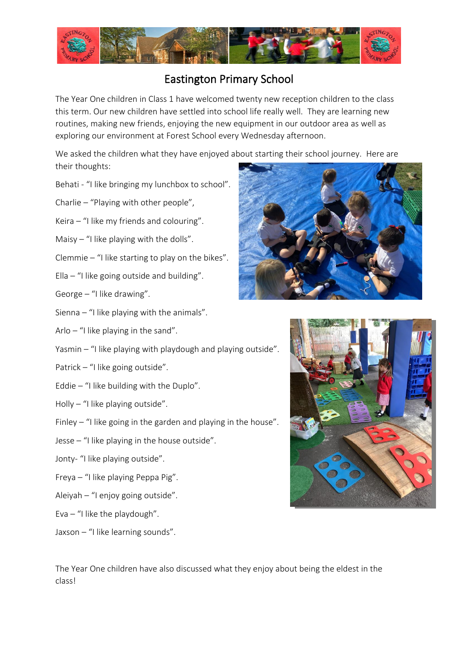

## Eastington Primary School

The Year One children in Class 1 have welcomed twenty new reception children to the class this term. Our new children have settled into school life really well. They are learning new routines, making new friends, enjoying the new equipment in our outdoor area as well as exploring our environment at Forest School every Wednesday afternoon.

We asked the children what they have enjoyed about starting their school journey. Here are their thoughts:

- Behati "I like bringing my lunchbox to school".
- Charlie "Playing with other people",
- Keira "I like my friends and colouring".
- Maisy  $-$  "I like playing with the dolls".
- Clemmie "I like starting to play on the bikes".
- Ella  $-$  "I like going outside and building".
- George "I like drawing".
- Sienna "I like playing with the animals".
- Arlo "I like playing in the sand".
- Yasmin "I like playing with playdough and playing outside".
- Patrick "I like going outside".
- Eddie "I like building with the Duplo".
- Holly "I like playing outside".
- Finley "I like going in the garden and playing in the house".
- Jesse "I like playing in the house outside".
- Jonty- "I like playing outside".
- Freya "I like playing Peppa Pig".
- Aleiyah "I enjoy going outside".
- Eva  $-$  "I like the playdough".
- Jaxson "I like learning sounds".



The Year One children have also discussed what they enjoy about being the eldest in the class!